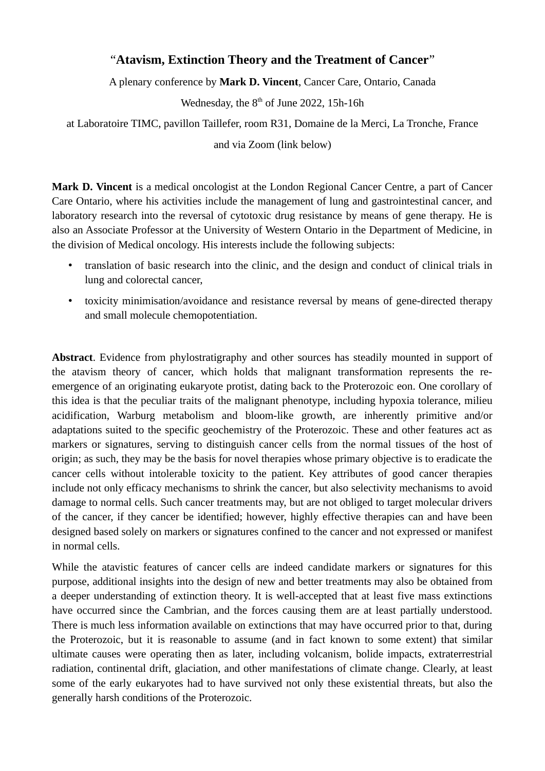## "**Atavism, Extinction Theory and the Treatment of Cancer**"

A plenary conference by **Mark D. Vincent**, Cancer Care, Ontario, Canada

Wednesday, the 8<sup>th</sup> of June 2022, 15h-16h

at Laboratoire TIMC, pavillon Taillefer, room R31, Domaine de la Merci, La Tronche, France

and via Zoom (link below)

**Mark D. Vincent** is a medical oncologist at the London Regional Cancer Centre, a part of Cancer Care Ontario, where his activities include the management of lung and gastrointestinal cancer, and laboratory research into the reversal of cytotoxic drug resistance by means of gene therapy. He is also an Associate Professor at the University of Western Ontario in the Department of Medicine, in the division of Medical oncology. His interests include the following subjects:

- translation of basic research into the clinic, and the design and conduct of clinical trials in lung and colorectal cancer,
- toxicity minimisation/avoidance and resistance reversal by means of gene-directed therapy and small molecule chemopotentiation.

**Abstract**. Evidence from phylostratigraphy and other sources has steadily mounted in support of the atavism theory of cancer, which holds that malignant transformation represents the reemergence of an originating eukaryote protist, dating back to the Proterozoic eon. One corollary of this idea is that the peculiar traits of the malignant phenotype, including hypoxia tolerance, milieu acidification, Warburg metabolism and bloom-like growth, are inherently primitive and/or adaptations suited to the specific geochemistry of the Proterozoic. These and other features act as markers or signatures, serving to distinguish cancer cells from the normal tissues of the host of origin; as such, they may be the basis for novel therapies whose primary objective is to eradicate the cancer cells without intolerable toxicity to the patient. Key attributes of good cancer therapies include not only efficacy mechanisms to shrink the cancer, but also selectivity mechanisms to avoid damage to normal cells. Such cancer treatments may, but are not obliged to target molecular drivers of the cancer, if they cancer be identified; however, highly effective therapies can and have been designed based solely on markers or signatures confined to the cancer and not expressed or manifest in normal cells.

While the atavistic features of cancer cells are indeed candidate markers or signatures for this purpose, additional insights into the design of new and better treatments may also be obtained from a deeper understanding of extinction theory. It is well-accepted that at least five mass extinctions have occurred since the Cambrian, and the forces causing them are at least partially understood. There is much less information available on extinctions that may have occurred prior to that, during the Proterozoic, but it is reasonable to assume (and in fact known to some extent) that similar ultimate causes were operating then as later, including volcanism, bolide impacts, extraterrestrial radiation, continental drift, glaciation, and other manifestations of climate change. Clearly, at least some of the early eukaryotes had to have survived not only these existential threats, but also the generally harsh conditions of the Proterozoic.